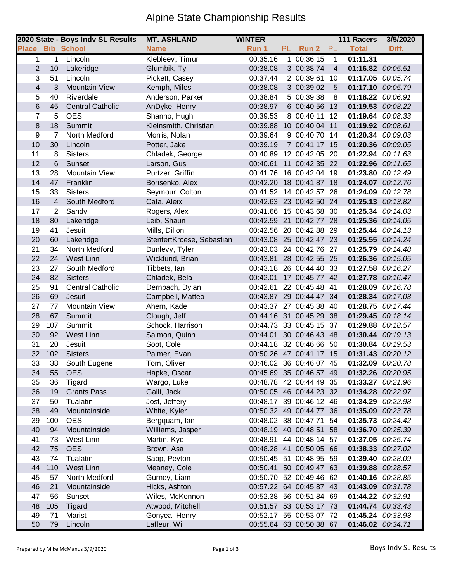## Alpine State Championship Results

|                |                | 2020 State - Boys Indv SL Results | <b>MT. ASHLAND</b>        | <b>WINTER</b> |     |                         |                | 111 Racers        | 3/5/2020 |
|----------------|----------------|-----------------------------------|---------------------------|---------------|-----|-------------------------|----------------|-------------------|----------|
| <b>Place</b>   |                | <b>Bib School</b>                 | <b>Name</b>               | Run 1         | PL. | Run 2                   | PL             | <b>Total</b>      | Diff.    |
| $\mathbf 1$    | 1              | Lincoln                           | Klebleev, Timur           | 00:35.16      |     | 1 00:36.15              | $\mathbf{1}$   | 01:11.31          |          |
| $\overline{2}$ | 10             | Lakeridge                         | Glumbik, Ty               | 00:38.08      |     | 3 00:38.74              | $\overline{4}$ | 01:16.82 00:05.51 |          |
| 3              | 51             | Lincoln                           | Pickett, Casey            | 00:37.44      |     | 2 00:39.61              | 10             | 01:17.05 00:05.74 |          |
| $\overline{4}$ | 3              | <b>Mountain View</b>              | Kemph, Miles              | 00:38.08      |     | 3 00:39.02              | 5              | 01:17.10 00:05.79 |          |
| 5              | 40             | Riverdale                         | Anderson, Parker          | 00:38.84      |     | 5 00:39.38              | 8              | 01:18.22 00:06.91 |          |
| $\,$ 6         | 45             | <b>Central Catholic</b>           | AnDyke, Henry             | 00:38.97      |     | 6 00:40.56 13           |                | 01:19.53 00:08.22 |          |
| $\overline{7}$ | 5              | <b>OES</b>                        | Shanno, Hugh              | 00:39.53      |     | 8 00:40.11              | 12             | 01:19.64          | 00:08.33 |
| 8              | 18             | Summit                            | Kleinsmith, Christian     |               |     | 00:39.88 10 00:40.04 11 |                | 01:19.92 00:08.61 |          |
| 9              | 7              | North Medford                     | Morris, Nolan             | 00:39.64      |     | 9 00:40.70 14           |                | 01:20.34 00:09.03 |          |
| 10             | 30             | Lincoln                           | Potter, Jake              | 00:39.19      |     | 7 00:41.17 15           |                | 01:20.36 00:09.05 |          |
| 11             | 8              | <b>Sisters</b>                    | Chladek, George           |               |     | 00:40.89 12 00:42.05 20 |                | 01:22.94 00:11.63 |          |
| 12             | 6              | Sunset                            | Larson, Gus               | 00:40.61      |     | 11 00:42.35 22          |                | 01:22.96 00:11.65 |          |
| 13             | 28             | <b>Mountain View</b>              | Purtzer, Griffin          | 00:41.76      |     | 16 00:42.04 19          |                | 01:23.80 00:12.49 |          |
| 14             | 47             | Franklin                          | Borisenko, Alex           |               |     | 00:42.20 18 00:41.87 18 |                | 01:24.07 00:12.76 |          |
| 15             | 33             | <b>Sisters</b>                    | Seymour, Colton           |               |     | 00:41.52 14 00:42.57 26 |                | 01:24.09 00:12.78 |          |
| 16             | 4              | South Medford                     | Cata, Aleix               |               |     | 00:42.63 23 00:42.50 24 |                | 01:25.13          | 00:13.82 |
| 17             | $\overline{2}$ | Sandy                             | Rogers, Alex              | 00:41.66      |     | 15 00:43.68             | 30             | 01:25.34          | 00:14.03 |
| 18             | 80             | Lakeridge                         | Leib, Shaun               |               |     | 00:42.59 21 00:42.77 28 |                | 01:25.36 00:14.05 |          |
| 19             | 41             | Jesuit                            | Mills, Dillon             | 00:42.56      |     | 20 00:42.88             | 29             | 01:25.44 00:14.13 |          |
| 20             | 60             | Lakeridge                         | StenfertKroese, Sebastian |               |     | 00:43.08 25 00:42.47 23 |                | 01:25.55 00:14.24 |          |
| 21             | 34             | North Medford                     | Dunlevy, Tyler            |               |     | 00:43.03 24 00:42.76 27 |                | 01:25.79 00:14.48 |          |
| 22             | 24             | <b>West Linn</b>                  | Wicklund, Brian           | 00:43.81      |     | 28 00:42.55 25          |                | 01:26.36 00:15.05 |          |
| 23             | 27             | South Medford                     | Tibbets, Ian              |               |     | 00:43.18 26 00:44.40 33 |                | 01:27.58 00:16.27 |          |
| 24             | 82             | <b>Sisters</b>                    | Chladek, Bela             | 00:42.01      |     | 17 00:45.77 42          |                | 01:27.78 00:16.47 |          |
| 25             | 91             | <b>Central Catholic</b>           | Dernbach, Dylan           | 00:42.61      |     | 22 00:45.48 41          |                | 01:28.09          | 00:16.78 |
| 26             | 69             | Jesuit                            | Campbell, Matteo          |               |     | 00:43.87 29 00:44.47 34 |                | 01:28.34 00:17.03 |          |
| 27             | 77             | <b>Mountain View</b>              | Ahern, Kade               |               |     | 00:43.37 27 00:45.38 40 |                | 01:28.75 00:17.44 |          |
| 28             | 67             | Summit                            | Clough, Jeff              |               |     | 00:44.16 31 00:45.29 38 |                | 01:29.45 00:18.14 |          |
| 29             | 107            | Summit                            | Schock, Harrison          | 00:44.73      |     | 33 00:45.15 37          |                | 01:29.88          | 00:18.57 |
| 30             | 92             | West Linn                         | Salmon, Quinn             | 00:44.01      |     | 30 00:46.43 48          |                | 01:30.44          | 00:19.13 |
| 31             | 20             | Jesuit                            | Soot, Cole                |               |     | 00:44.18 32 00:46.66 50 |                | 01:30.84 00:19.53 |          |
| 32             | 102            | <b>Sisters</b>                    | Palmer, Evan              |               |     | 00:50.26 47 00:41.17 15 |                | 01:31.43 00:20.12 |          |
| 33             | 38             | South Eugene                      | Tom, Oliver               |               |     | 00:46.02 36 00:46.07 45 |                | 01:32.09 00:20.78 |          |
| 34             | 55             | <b>OES</b>                        | Hapke, Oscar              |               |     | 00:45.69 35 00:46.57 49 |                | 01:32.26 00:20.95 |          |
| 35             | 36             | Tigard                            | Wargo, Luke               |               |     | 00:48.78 42 00:44.49 35 |                | 01:33.27          | 00:21.96 |
| 36             | 19             | <b>Grants Pass</b>                | Galli, Jack               |               |     | 00:50.05 46 00:44.23 32 |                | 01:34.28          | 00:22.97 |
| 37             | 50             | Tualatin                          | Jost, Jeffery             |               |     | 00:48.17 39 00:46.12 46 |                | 01:34.29          | 00:22.98 |
| 38             | 49             | Mountainside                      | White, Kyler              |               |     | 00:50.32 49 00:44.77 36 |                | 01:35.09 00:23.78 |          |
| 39             | 100            | <b>OES</b>                        | Bergquam, lan             |               |     | 00:48.02 38 00:47.71 54 |                | 01:35.73 00:24.42 |          |
| 40             | 94             | Mountainside                      | Williams, Jasper          |               |     | 00:48.19 40 00:48.51 58 |                | 01:36.70 00:25.39 |          |
| 41             | 73             | West Linn                         | Martin, Kye               |               |     | 00:48.91 44 00:48.14 57 |                | 01:37.05 00:25.74 |          |
| 42             | 75             | <b>OES</b>                        | Brown, Asa                |               |     | 00:48.28 41 00:50.05 66 |                | 01:38.33          | 00:27.02 |
| 43             | 74             | Tualatin                          | Sapp, Peyton              |               |     | 00:50.45 51 00:48.95 59 |                | 01:39.40 00:28.09 |          |
| 44             | 110            | West Linn                         | Meaney, Cole              |               |     | 00:50.41 50 00:49.47 63 |                | 01:39.88 00:28.57 |          |
| 45             | 57             | North Medford                     | Gurney, Liam              |               |     | 00:50.70 52 00:49.46 62 |                | 01:40.16 00:28.85 |          |
| 46             | 21             | Mountainside                      | Hicks, Ashton             |               |     | 00:57.22 64 00:45.87 43 |                | 01:43.09 00:31.78 |          |
| 47             | 56             | Sunset                            | Wiles, McKennon           |               |     | 00:52.38 56 00:51.84 69 |                | 01:44.22 00:32.91 |          |
| 48             | 105            | Tigard                            | Atwood, Mitchell          |               |     | 00:51.57 53 00:53.17 73 |                | 01:44.74          | 00:33.43 |
| 49             | 71             | Marist                            | Gonyea, Henry             |               |     | 00:52.17 55 00:53.07 72 |                | 01:45.24 00:33.93 |          |
| 50             | 79             | Lincoln                           | Lafleur, Wil              |               |     | 00:55.64 63 00:50.38 67 |                | 01:46.02 00:34.71 |          |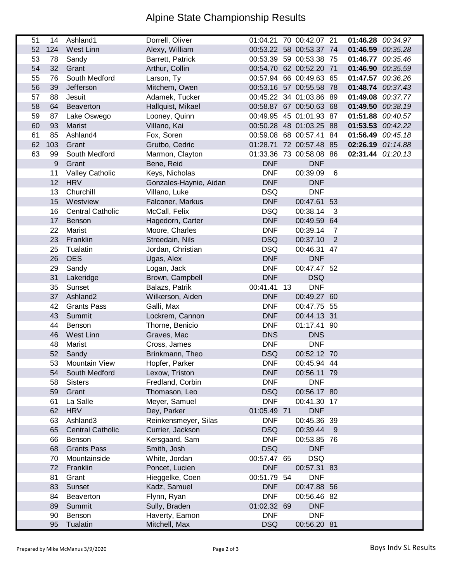## Alpine State Championship Results

| 51 | 14  | Ashland1                | Dorrell, Oliver        |             | 01:04.21 70 00:42.07 21 |              | 01:46.28 00:34.97 |  |
|----|-----|-------------------------|------------------------|-------------|-------------------------|--------------|-------------------|--|
| 52 | 124 | West Linn               | Alexy, William         |             | 00:53.22 58 00:53.37 74 |              | 01:46.59 00:35.28 |  |
| 53 | 78  | Sandy                   | Barrett, Patrick       |             | 00:53.39 59 00:53.38 75 |              | 01:46.77 00:35.46 |  |
| 54 | 32  | Grant                   | Arthur, Collin         |             | 00:54.70 62 00:52.20 71 |              | 01:46.90 00:35.59 |  |
| 55 | 76  | South Medford           | Larson, Ty             |             | 00:57.94 66 00:49.63 65 |              | 01:47.57 00:36.26 |  |
| 56 | 39  | Jefferson               | Mitchem, Owen          |             | 00:53.16 57 00:55.58 78 |              | 01:48.74 00:37.43 |  |
| 57 | 88  | Jesuit                  | Adamek, Tucker         |             | 00:45.22 34 01:03.86 89 |              | 01:49.08 00:37.77 |  |
| 58 | 64  | Beaverton               | Hallquist, Mikael      |             | 00:58.87 67 00:50.63 68 |              | 01:49.50 00:38.19 |  |
| 59 | 87  | Lake Oswego             | Looney, Quinn          |             | 00:49.95 45 01:01.93 87 |              | 01:51.88 00:40.57 |  |
| 60 | 93  | <b>Marist</b>           | Villano, Kai           |             | 00:50.28 48 01:03.25 88 |              | 01:53.53 00:42.22 |  |
| 61 | 85  | Ashland4                | Fox, Soren             |             | 00:59.08 68 00:57.41 84 |              | 01:56.49 00:45.18 |  |
| 62 | 103 | Grant                   | Grutbo, Cedric         |             | 01:28.71 72 00:57.48 85 |              | 02:26.19 01:14.88 |  |
| 63 | 99  | South Medford           | Marmon, Clayton        |             | 01:33.36 73 00:58.08 86 |              | 02:31.44 01:20.13 |  |
|    | 9   | Grant                   | Bene, Reid             | <b>DNF</b>  | <b>DNF</b>              |              |                   |  |
|    | 11  | <b>Valley Catholic</b>  | Keys, Nicholas         | <b>DNF</b>  | 00:39.09                | 6            |                   |  |
|    | 12  | <b>HRV</b>              | Gonzales-Haynie, Aidan | <b>DNF</b>  | <b>DNF</b>              |              |                   |  |
|    | 13  | Churchill               | Villano, Luke          | <b>DSQ</b>  | <b>DNF</b>              |              |                   |  |
|    | 15  | Westview                | Falconer, Markus       | <b>DNF</b>  | 00:47.61 53             |              |                   |  |
|    | 16  | <b>Central Catholic</b> | McCall, Felix          | <b>DSQ</b>  | 00:38.14                | $\mathbf{3}$ |                   |  |
|    | 17  | Benson                  | Hagedorn, Carter       | <b>DNF</b>  | 00:49.59 64             |              |                   |  |
|    | 22  | Marist                  | Moore, Charles         | <b>DNF</b>  | 00:39.14                | 7            |                   |  |
|    | 23  | Franklin                | Streedain, Nils        | <b>DSQ</b>  | 00:37.10                | 2            |                   |  |
|    | 25  | Tualatin                | Jordan, Christian      | <b>DSQ</b>  | 00:46.31 47             |              |                   |  |
|    | 26  | <b>OES</b>              | Ugas, Alex             | <b>DNF</b>  | <b>DNF</b>              |              |                   |  |
|    | 29  | Sandy                   | Logan, Jack            | <b>DNF</b>  | 00:47.47 52             |              |                   |  |
|    | 31  | Lakeridge               | Brown, Campbell        | <b>DNF</b>  | <b>DSQ</b>              |              |                   |  |
|    | 35  | Sunset                  | Balazs, Patrik         | 00:41.41 13 | <b>DNF</b>              |              |                   |  |
|    | 37  | Ashland <sub>2</sub>    | Wilkerson, Aiden       | <b>DNF</b>  | 00:49.27 60             |              |                   |  |
|    | 42  | <b>Grants Pass</b>      | Galli, Max             | <b>DNF</b>  | 00:47.75 55             |              |                   |  |
|    | 43  | Summit                  | Lockrem, Cannon        | <b>DNF</b>  | 00:44.13 31             |              |                   |  |
|    | 44  | Benson                  | Thorne, Benicio        | <b>DNF</b>  | 01:17.41 90             |              |                   |  |
|    | 46  | West Linn               | Graves, Mac            | <b>DNS</b>  | <b>DNS</b>              |              |                   |  |
|    | 48  | Marist                  | Cross, James           | <b>DNF</b>  | <b>DNF</b>              |              |                   |  |
|    | 52  | Sandy                   | Brinkmann, Theo        | <b>DSQ</b>  | 00:52.12 70             |              |                   |  |
|    | 53  | <b>Mountain View</b>    | Hopfer, Parker         | <b>DNF</b>  | 00:45.94 44             |              |                   |  |
|    | 54  | South Medford           | Lexow, Triston         | <b>DNF</b>  | 00:56.11 79             |              |                   |  |
|    | 58  | <b>Sisters</b>          | Fredland, Corbin       | <b>DNF</b>  | <b>DNF</b>              |              |                   |  |
|    | 59  | Grant                   | Thomason, Leo          | <b>DSQ</b>  | 00:56.17 80             |              |                   |  |
|    | 61  | La Salle                | Meyer, Samuel          | <b>DNF</b>  | 00:41.30 17             |              |                   |  |
|    | 62  | <b>HRV</b>              | Dey, Parker            | 01:05.49 71 | <b>DNF</b>              |              |                   |  |
|    | 63  | Ashland3                | Reinkensmeyer, Silas   | <b>DNF</b>  | 00:45.36 39             |              |                   |  |
|    | 65  | <b>Central Catholic</b> | Currier, Jackson       | <b>DSQ</b>  | 00:39.44                | - 9          |                   |  |
|    | 66  | Benson                  | Kersgaard, Sam         | <b>DNF</b>  | 00:53.85 76             |              |                   |  |
|    | 68  | <b>Grants Pass</b>      | Smith, Josh            | <b>DSQ</b>  | <b>DNF</b>              |              |                   |  |
|    | 70  | Mountainside            | White, Jordan          | 00:57.47 65 | <b>DSQ</b>              |              |                   |  |
|    | 72  | Franklin                | Poncet, Lucien         | <b>DNF</b>  | 00:57.31 83             |              |                   |  |
|    | 81  | Grant                   | Hieggelke, Coen        | 00:51.79 54 | <b>DNF</b>              |              |                   |  |
|    | 83  | Sunset                  | Kadz, Samuel           | <b>DNF</b>  | 00:47.88 56             |              |                   |  |
|    | 84  | Beaverton               | Flynn, Ryan            | <b>DNF</b>  | 00:56.46 82             |              |                   |  |
|    | 89  | Summit                  | Sully, Braden          | 01:02.32 69 | <b>DNF</b>              |              |                   |  |
|    | 90  | Benson                  | Haverty, Eamon         | <b>DNF</b>  | <b>DNF</b>              |              |                   |  |
|    | 95  | Tualatin                | Mitchell, Max          | <b>DSQ</b>  | 00:56.20 81             |              |                   |  |